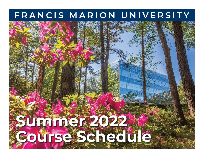# **FRANCIS MARION UNIVERSITY**

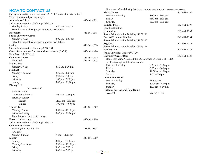| <b>HOW TO CONTACT US</b>                                                |                                     |              | Hours are reduced during holidays, summer sessions, and between semesters. |                    |              |
|-------------------------------------------------------------------------|-------------------------------------|--------------|----------------------------------------------------------------------------|--------------------|--------------|
| Our administrative office hours are 8:30-5:00 (unless otherwise noted). |                                     |              | Media Center                                                               |                    | 843-661-1250 |
| These hours are subject to change.                                      |                                     |              | Monday-Thursday                                                            | 8:30 am - 9:30 pm  |              |
| <b>Admissions Office</b>                                                |                                     | 843-661-1231 | Friday                                                                     | 8:30 am - 5:00 pm  |              |
| Stokes Administration Building (SAB) 113                                |                                     |              | Saturday                                                                   | 9:00 am - 1:00 pm  |              |
| Monday-Friday                                                           | 8:30 am - 5:00 pm                   |              | <b>Campus Police</b>                                                       |                    | 843-661-1109 |
| Extended hours during registration and orientation.                     |                                     |              | <b>Facilities Building</b>                                                 |                    |              |
| <b>Bookstore</b>                                                        |                                     | 843-661-1345 | Orientation                                                                |                    | 843-661-1563 |
| <b>Smith University Center</b>                                          |                                     |              | Stokes Administration Building (SAB) 116                                   |                    |              |
| Monday-Friday                                                           | 8:00 am - 4:30 pm                   |              | <b>Provost/Graduate Studies</b>                                            |                    | 843-661-1284 |
| Extended hours during registration and orientation.                     |                                     |              | Stokes Administration Building (SAB) 115                                   |                    |              |
| Cashier                                                                 |                                     | 843-661-1596 | Registrar                                                                  |                    | 843-661-1175 |
| Stokes Administration Building (SAB) 104                                |                                     |              | Stokes Administration Building (SAB) 118                                   |                    |              |
| Center for Academic Success and Advisement (CASA)                       |                                     | 843-661-1400 | <b>Student Life</b>                                                        |                    | 843-661-1182 |
| Founders Hall (FH) 220                                                  |                                     |              | Smith University Center (UC) 205                                           |                    |              |
| <b>Computer Center</b>                                                  |                                     | 843-661-1335 | <b>University Center (UC)</b>                                              |                    | 843-661-1189 |
| Help Desk                                                               |                                     | 843-661-1111 | Hours may vary. Please call the UC Information Desk at 661-1180            |                    |              |
| <b>Main Office</b>                                                      |                                     |              | for the most up-to-date information.                                       |                    |              |
| Monday-Friday                                                           | 8:30 am-5:00 pm                     |              | Monday-Thursday                                                            | 8:30 am - 11:00 pm |              |
| Main Lab                                                                |                                     |              | Friday                                                                     | 8:30 am - 10:00 pm |              |
| Monday-Thursday                                                         | 8:30 am - 1:00 am                   |              | Saturday                                                                   | 10:00 am - 9:00 pm |              |
| Friday                                                                  | 8:30 am - 5:00 pm                   |              | Sunday                                                                     | $1:00 - 9:00$ pm   |              |
| Saturday                                                                | 1:00 pm - 5:00 pm                   |              | <b>Indoor Pool Hours</b>                                                   |                    |              |
| Sunday                                                                  | 3:00 pm - 11:00 pm                  |              | Monday-Friday                                                              | Hours vary         |              |
| <b>Dining Hall</b>                                                      |                                     |              | Saturday                                                                   | 11:00 am - 6:00 pm |              |
| 843-661-1260                                                            |                                     |              | Sunday                                                                     | 1:00 pm - 6:00 pm  |              |
| Monday-Friday                                                           |                                     |              | <b>Outdoor Recreational Pool Hours</b>                                     |                    |              |
| Continuous Service                                                      | $7:00$ am $- 7:30$ pm               |              | Seasonal                                                                   | Call 661-1189      |              |
| Saturday-Sunday                                                         |                                     |              |                                                                            |                    |              |
| Brunch                                                                  | 11:00 am - 1:30 pm                  |              |                                                                            |                    |              |
| Dinner                                                                  | $5:00 \text{ pm} - 7:00 \text{ pm}$ |              |                                                                            |                    |              |
| The Grille                                                              |                                     | 843-661-1660 |                                                                            |                    |              |
| Monday-Friday                                                           |                                     |              |                                                                            |                    |              |
| Saturday-Sunday                                                         | 9:00 am - 11:00 pm                  |              |                                                                            |                    |              |
|                                                                         | 5:00 pm - 11:00 pm                  |              |                                                                            |                    |              |
| These hours are subject to change.<br><b>Financial Assistance</b>       |                                     |              |                                                                            |                    |              |
|                                                                         |                                     | 843-661-1190 |                                                                            |                    |              |
| Stokes Administration Building (SAB) 117                                |                                     |              |                                                                            |                    |              |
| <b>Community Center</b>                                                 |                                     |              |                                                                            |                    |              |
| Housing Information Desk                                                |                                     | 843-661-4672 |                                                                            |                    |              |
| $(GO-RA)$                                                               |                                     |              |                                                                            |                    |              |
| Monday-Sunday                                                           | Noon - 11:00 pm                     |              |                                                                            |                    |              |
| Library                                                                 |                                     | 843-661-1300 |                                                                            |                    |              |
| Sunday                                                                  | 3:00pm - 11:00 pm                   |              |                                                                            |                    |              |
| Monday-Thursday                                                         | 8:30 am - 11:00 pm                  |              |                                                                            |                    |              |
| Friday                                                                  | 8:30 am - 5:00 pm                   |              |                                                                            |                    |              |
| Saturday                                                                | 9:00 am - 5:00 pm                   |              | $2 \cdot$                                                                  |                    |              |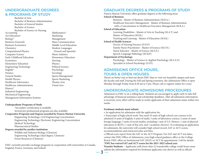### **UNDERGRADUATE DEGREES & PROGRAMS OF STUDY**

 Bachelor of Arts Bachelor of Business Administration Bachelor of General Studies Bachelor of Science Bachelor of Science in Nursing Accounting Art Education\* Biology\* Business (General) Business Economics Chemistry Computational Physics Computer Science Early Childhood Education **Economics** Elementary Education Engineering Technology English\* Finance General Studies Health Physics Healthcare Informatics Healthcare Administration History\* Industrial Engineering Mechanical Engineering Management Information Systems

Mathematics\* Marketing Management Mass Communication Middle Level Education Modern Languages (French and Spanish) Music Industry Elementary Education Nursing Physics Political Science Psychology Sociology Sports Management Sports Marketing Theatre Arts Visual Arts

#### **Undergraduate Programs of Study**

 \*Secondary certification is available. Several pre-professional programs are also available.

#### **Cooperative Programs and Degrees awarded by Francis Marion University.** Engineering Technology, Civil Engineering Concentration Engineering Technology, Electronic Engineering Concentration

Medical Technology

Pharmaceutical Studies

#### **Degrees awarded by another institution**

 Wildlife and Fisheries Biology (Clemson) Engineering Technology (dual degree, Clemson) Forest Resources (Clemson)

FMU currently provides exchange programs in cooperation with universities in Canada, England, France, Germany, and Ireland.

## **GRADUATE DEGREES & PROGRAMS OF STUDY**

Francis Marion University offers graduate degrees in the following areas: **School of Business** Business - Master of Business Administration (M.B.A.)

 Healthcare Executive Management - Master of Business Administration with a Concentration in Healthcare Executive Management (M.B.A.)

#### **School of Education**

 Learning Disabilities - Master of Arts in Teaching (M.A.T.) and Master of Education (M.Ed.) Teaching and Learning - Master of Education (M.Ed.)

#### **School of Health Sciences**

 Doctor of Nursing Practice (D.N.P.) Family Nurse Practitioner - Master of Science (M.S.N.) Nurse Educator - Master of Science (M.S.N.) Speech-Language Pathology (M.SLP.)

#### **Department of Psychology**

Psychology - Master of Science in Applied Psychology (M.S.A.P.) Specialist in School Psychology (S.S.P.)

## **ADMISSIONS OFFICE HOURS, TOURS & OPEN HOUSES**

There's no better way to find out about FMU than to visit our beautiful campus and meet the faculty and staff. During the Fall and Spring semesters, the Admissions Office is open Monday through Friday from 8:30 am to 5 pm. Please call or register online for a tour.

## **UNDERGRADUATE ADMISSIONS PROCEDURES**

Admission to FMU is on a rolling basis. Students are encouraged to apply early to take full advantage of financial assistance and scholarship deadlines. After all admission information is received, every effort will be made to notify applicants of their admission status within two weeks.

#### **Freshman students must submit:**

**3**

• An application for admission with the application fee.

• Transcripts of high school work–You need 19 units of high school core courses to be admitted (4 units of English; 4 units of math; 3 units of laboratory science; 2 units of same foreign language; 3 units of social studies, including 1 unit of U.S. History; 1 unit of physical education or ROTC; 1 unit of fine arts, and 1 academic elective). In evaluating an application for admission, the university will consider high school record, SAT or ACT scores, recommendations and extracurricular activities.

• Official score report from the SAT or the ACT Program. For SAT and ACT test dates, contact the FMU Office of Admissions, your high school guidance office or the College Board. FMU offers an Institutional SAT (ISAT) or ACT by appointment. Call for details. **\*FMU has waived SAT and ACT scores for the 2021-2022 school year.**

**Transfer Students** – Applicants with fewer than 22 transferable college credit hours must submit the information required for freshman applicants (see above) as well as official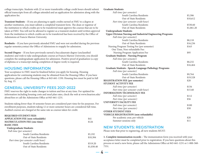college transcripts. Students with 22 or more transferable college credit hours should submit official transcripts from all colleges attended and an application for admission along with the application fee.

**Transient Students** – If you are planning to apply credits earned at FMU to a degree at another institution, you must submit a completed transient form. The dean or registrar of the institution to which credits are to be transferred must approve the courses that are to be taken at FMU. You will not be allowed to register as a transient student until written approval from the institution to which credits are to be transferred has been received by the Office of Admissions at Francis Marion University.

**Readmits** – If you have previously attended FMU and were not enrolled during the previous regular semester,contact the Office of Admissions to reapply for admission.

**Second-Degree** – If you have previously earned a baccalaureate degree (unclassified students) and wish to take undergraduate courses at Francis Marion University, you should complete the undergraduate application for admission. Positive proof of graduation (a copy of diploma or a transcript stating completion of degree work) is required.

### **HOUSING INFORMATION**

Your acceptance to FMU must be finalized before you apply for housing. Housing applications for continuing students may be obtained from the Housing Office. If you have questions, please call the Housing Office at 843-661-1330. Housing fees must be paid in full by Aug. 15.

### **GENERAL UNIVERSITY FEES 2021-2022**

FMU reserves the right to make changes in tuition and fees at any time. For updated fee information including housing costs and meal plan rates, check the web at www.fmarion.edu/ about/fees or call the Admissions Office at 843-661-1231.

Students taking fewer than 10 semester hours are considered part-time for fee purposes. For enrollment purposes, students taking 12 or more semester hours are considered full-time. Audited courses are charged at the same rate as courses taken for credit.

| \$41       |
|------------|
| \$126      |
|            |
|            |
|            |
| \$5,192    |
| \$10,384   |
|            |
| \$519.20   |
| \$1,038.40 |
|            |

#### **Graduate Students**

| Full-time (per semester)                                          |            |
|-------------------------------------------------------------------|------------|
| South Carolina Residents                                          | \$5,306    |
| Out-of-State Residents                                            | \$10,612   |
| Part-time (per semester credit hour)                              |            |
| South Carolina Residents                                          | \$530.60   |
| Out-of-State Residents                                            | \$1,061.20 |
| <b>Undergraduate Students</b>                                     |            |
| <b>Upper Division Nursing and Industrial Engineering Programs</b> |            |
| Full-time (per semester)                                          |            |
| South Carolina Residents                                          | \$8,118    |
| Out-of-State Residents                                            | \$16,236   |
| Nursing Program Testing Fee (per semester)                        | \$163      |
| One Time, Non-refundable Fee:                                     |            |
| Nursing Program Application Fee                                   | \$95       |
| <b>Graduate Students - Nursing Program</b>                        |            |
| Full-time (per semester)                                          |            |
| South Carolina Residents                                          | \$8,232    |
| Out-of-State Residents                                            | \$16,464   |
| <b>Graduate Students - Speech-Language Pathology Programs</b>     |            |
| Full-time (per semester)                                          |            |
| South Carolina Residents                                          | \$9,764    |
| Out-of-State Residents                                            | \$19,528   |
| <b>REGISTRATION FEE (per semester)</b>                            | \$20       |
| <b>STUDENT ACTIVITY FEE</b>                                       |            |
| Full-time (per semester)                                          | \$156      |
| Part-time (per semester credit hour)                              | \$15.60    |
| <b>INFORMATION TECHNOLOGY FEE</b>                                 |            |
| Full-time (per semester)                                          | \$112      |
| Part-time (per semester)                                          | \$56       |
| <b>UNIVERSITY FACILITY FEE</b>                                    |            |
| Full-time (per semester)                                          | \$100      |
| Part-time (per semester)                                          | \$50       |
| <b>OTHER STUDENT FEES</b>                                         |            |
| <b>VEHICLE REGISTRATION (non-refundable)</b>                      |            |
| Per academic year, per vehicle                                    | \$20       |
| Summer sessions only                                              | \$11       |

### **NEW STUDENTS: REGISTRATION**

**4**

Please note that prior to registering, all new students MUST:

**1. Complete immunization records –** The immunization form you received with your acceptance letter must be completed prior to registration. If you have questions about this process or need a new form, please call the Admissions Office at 843-661-1231 or 1-800-368- 7551.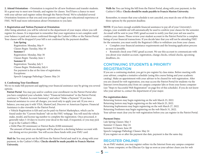**2. Attend Orientation –** Orientation is required for all new freshmen and transfer students. It's a great way to meet new friends, and register for classes. You'll have a chance to meet with your adviser and register online through the Patriot Portal. We've scheduled several Orientation Sessions so that you and your parents can begin your educational experience at FMU. We'll mail more information about Orientation to you later.

#### **3. Registration and Tuition Payment at Orientation**

After being admitted, you will be referred to the department of your major, where you will register for classes. It is important to remember that your registration is not complete until your balance is paid and classes confirmed through the Cashier's Office or the Patriot Portal. Your classes will be dropped if your bill is not confirmed by the payment deadline.

#### **Late Spring**

 Registration: Monday, May 9 Classes Begin: Tuesday, May 10  **Summer I**  Registration: Monday, May 30 Classes Begin: Tuesday, June 1  **Summer II**  Registration: Tuesday, July 5 Classes Begin: Wednesday, July 6 Fee payment is due at the time of registration. Exceptions: Speech-Language Pathology Classes: May 24

#### **4. Confirming Your Enrollment**

We try to make bill payment and applying your financial assistance easy by giving you several options.

**Patriot Portal**: You may pay and/or confirm your enrollment via the Patriot Portal after you have completed your schedule. Select "Financial Information" in the Patriot Portal, continue to "Student Account Summary," and select "Make a Payment." If you have financial assistance to cover all charges, you need only to apply your aid. If you owe a balance, you may pay it with VISA, MasterCard, Discover or American Express. Financial Assistance is also viewable in the Patriot Portal.

• Vehicle Registration is \$20 and can be paid via Patriot Marketplace, which can be found under the "Current Students" tab on the FMU webpage. You will need the vehicle make, model, and license tag number to complete the registration. Once processed, it generally takes 5-10 days to receive your decal in the mail, if requested, or you may pick it up in the Cashier's Office.

• Debit Plan (\$5 minimum) or Patriot Bucks (\$300 minimum)

 The amount of funds you designate will be placed in a declining balance account with our dining service provider. You will access these funds with your FMU card.

**Mail-In:** You may print out the bill from the Patriot Portal and mail it in, along with your payment, to the Cashier's Office. **Checks should be made payable to Francis Marion University.**

**Walk-In:** You can bring the bill from the Patriot Portal, along with your payment, to the Cashier's Office. **Checks should be made payable to Francis Marion University.**

Remember, to ensure that your schedule is not canceled, you must do one of the above three options by the payment deadline.

**NOTE**: If you have enough available financial assistance to pay all of your University's charges, your available aid will automatically be used to confirm your classes for the semester. An email will be sent to your FMU gmail account to notify you that your aid was used to confirm your classes. Please review your student account in the Patriot Portal for a complete listing of your financial transactions. If you decide later that you will not be attending FMU for the semester, you must notify the Registrar's Office to withdraw you from your classes.

• Complete your financial assistance requirements and the housing application process as soon as possible.

• Routinely check your FMU gmail account. We use this account to communicate with you about your student account, registration, change checks, refund checks, upcoming deadlines, etc.

## **CONTINUING STUDENTS & PRIORITY REGISTRATION**

If you are a continuing student, you get to pre-register by class status. Before meeting with your adviser, complete a tentative schedule (using this course listing and your academic catalog). Make an appointment with your adviser to be cleared for web registration. After you are cleared for web registration, you may access the Patriot Portal for students via the Internet (www.fmarion.edu) from on-campus computer labs or from your home computer (see "Steps to Successful Web Registration" on page five of this schedule). If you do not know who your adviser is, contact the department of your major.

#### **Pre-registration dates:**

Returning Seniors may begin registering on the web March 23, 2022. Returning Juniors may begin registering on the web March 25, 2022. Returning Sophomores may begin registering on the web March 27, 2022. Returning Freshmen may begin registering on the web March 31, 2022. Your adviser must clear you for web registration before you can register in the Patriot Portal.

#### **Payment Dates:**

**5**

Late Spring Classes: May 3 Summer I Classes: May 24 Summer II Classes: June 28 Speech-Language Pathology Classes: May 24 If you register on or after the payment due date, payment is due the same day.

### **REGISTER ONLINE!**

As an FMU student, you may register online via the Internet from any campus computer lab, home computer, or the Ellucian Go App as soon as your adviser clears you for web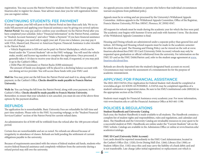registration. You may access the Patriot Portal for students from the FMU home page (www. fmarion.edu) to register for classes. Your adviser must clear you for web registration before you can register online.

## **CONTINUING STUDENTS: FEE PAYMENT**

If you pre-register, your bill will post to the Patriot Portal no later than early July. We try to make bill payment and applying your financial assistance easy by giving you several options: **Patriot Portal:** You may pay and/or confirm your enrollment via the Patriot Portal after you have completed your schedule. Select "Financial Information" in the Patriot Portal, continue to "Student Account Summary," and select "Make a Payment." If you have financial assistance to cover all charges, you need only to apply your aid. If you owe a balance, you may pay it with VISA, MasterCard, Discover or American Express. Financial Assistance is also viewable in the Patriot Portal.

- Vehicle Registration is \$20 and can be paid via Patriot Marketplace, which can be found under the "Current Students" tab on the FMU webpage. You will need the vehicle make, model, and license tag number to complete the registration. Once processed, it generally takes 5-10 days to receive your decal in the mail, if requested, or you may pick it up in the Cashier's Office.
- Debit Plan (\$5 minimum) or Patriot Bucks (\$300 minimum)
- The amount of funds you designate will be placed in a declining balance account with our dining service provider. You will access these funds with your FMU card.

**Mail-In:** You may print out the bill from the Patriot Portal and mail it in, along with your payment, to the Cashier's Office. **Checks should be made payable to Francis Marion University.** 

**Walk-In**: You can bring the bill from the Patriot Portal, along with your payment, to the Cashier's Office. **Checks should be made payable to Francis Marion University.** Remember, to ensure that your schedule is not canceled, you must do one of the above three options by the payment deadline.

### **REFUNDS**

The application fee is nonrefundable. Basic University Fees are refundable for full-time and part-time students. Please refer to the FMU Accounting webpage, or the "Student Financial Services/Cashier" section of the Patriot Portal for current refund dates.

An administrative fee of \$100 will be withheld from the refund after the 100 percent refund period.

Certain fees are nonrefundable and are so noted. No refunds are allowed because of irregularity in attendance of classes. Refunds are held pending the settlement of current obligations payable to the university.

**6** Because of requirements associated with the return of federal student aid funds, students who receive federal financial assistance and completely withdraw from the university during a refund period may still owe the university.

An appeals process exists for students or parents who believe that individual circumstances warrant exceptions from published policy.

Appeals must be in writing and are processed by the University's Withdrawal Appeals Committee. Address appeals to the Withdrawal Appeals Committee, Office of the Registrar, Francis Marion University, PO Box 100547, Florence, SC 29502-0547.

All requests for refunds must be made during the academic year for which the fees were paid. The academic year begins with Summer II term and ends with Summer I term. The decision of the Withdrawal Appeals Committee is final.

Housing and Dining refunds are administered under a separate policy than general fees and tuition. All Dining and Housing refund requests must be made in the academic semester for which fees are paid. The Housing and Dining Policy can be viewed on the web at www. fmarion.edu/about/fees.FMU ID Card (University Debit Account) refunds may only be requested upon graduation or official withdrawal from the university. For information on the FMU ID card as the FMU Debit/Patriot card, refer to the student usage agreement at www. fmarion.edu/about/fees.

Refunds are directly deposited into the student's designated bank account on record. Circumstances may warrant the assessment of a reinstatement fee for the purpose of academic reinstatement.

### **APPLYING FOR FINANCIAL ASSISTANCE**

The 2022-2023 FAFSA (Free Application for Federal Student Aid) should be completed at www.fafsa.ed.gov AS SOON AS POSSIBLE. A FAFSA may be completed regardless of a student's admission or registration status. Be sure to list FMU's institutional code (009226) in the appropriate section of the FAFSA.

Students must reapply for Financial Assistance every academic year. For more information, visit www.fmarion.edu or call the Financial Assistance Office at 843-661-1190.

### **POLICIES & REGULATIONS**

#### **Student Handbook and University Catalog**

Each year, the Student Handbook is made available to all students. The Handbook contains a complete list of student rights and responsibilities, rules and regulations, and calendars and dates. The Handbook and the University Catalog are invaluable resources in your quest to be a successful student at FMU. Handbooks are online under the "Current Students" tab on the FMU website. Catalogs are available in the Admissions Office or online at www.fmarion.edu/ academics/catalogs.

#### **FMU ID Card (University Debit Account)**

Lost cards should be reported immediately to the FMU Card Administrator, located in the Cashier's Office (Ext. 1320); Ervin Dining Hall (Ext. 1266); Library (Ext 1300); or Student Affairs (Ext. 1182) since this card may carry the liability of a bank debit card and is not transferable. Late charge (after initial registration) or replacement cost which is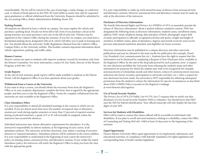nonrefundable. The fee will be waived in the case of marriage, a name change, or a defective card. A refund of funds placed on the FMU ID Card (debit account) may only be requested upon graduation or official withdrawal from the University. Requests should be submitted to the Accounting Office, Stokes Administration Building, Room 103.

#### **Parking Permits**

All students are allowed to have a vehicle on campus. You must register the vehicle and purchase a parking decal. Decals run from fall to fall. Even if you purchase a decal in the spring semester, you must purchase a new one in the fall of each year. Vehicles may be registered in the Cashier's Office during the semester. If you live on campus, you must have a Residential parking decal, designated with an R, which will allow you to park in housing area lots. You should obtain the university Traffic Regulations Manual from the Cashier's Office, Campus Police, or the University website. This booklet contains important information about vehicle registration, parking, and traffic safety.

#### **Honors Courses**

Honors courses are open to students with superior academic records by invitation only from the Honors Committee. For more information, contact Dr. Jon Tuttle, director of the Honors Program, at 843-661-1521.

#### **Grade Reports**

At the end of each semester, grade reports will be made available to students in the Patriot Portal. Call the Registrar's Office if you have questions about your grades.

#### **Withdrawal from a Course or the University**

If you want to drop a course, you should obtain the necessary form from the Registrar's Office or in your academic department, complete the form, have it signed by the appropriate people, and then turn it into the Registrar's Office. Forms for complete withdrawal from the university are only available in the Registrar's Office.

#### **Class Attendance Policy**

It is your responsibility to attend all scheduled meetings in the courses in which you are enrolled. If you are absent more than twice the number of required class or laboratory sessions per week during regular semesters or more than 15 percent of required sessions during accelerated semesters, a grade of F or W will normally be assigned, unless the instructor has excused the absences.

Individual instructors may choose alternative requirements for attendance. It is the instructor's responsibility to inform students, at the beginning of each course, of all attendance policies. The instructor, at his/her discretion, may utilize a warning of excessive absences or required attendance. Attendance policies will be outlined on the course syllabus. It is your responsibility to understand at the beginning of each course the instructor's policy on missing classes, announced tests, and laboratory sessions. If you violate the stated attendance policy, the instructor will notify the Registrar's Office to drop you from the class with the appropriate grade.

It is your responsibility to make up work missed because of absence from announced tests and laboratory sessions. However, announced tests and laboratory sessions may be made up only at the discretion of the instructor.

#### **Disclosure of Directory Information**

The Family Educational Rights and Privacy Act (FERPA) of 1974, as amended, permits the release of "directory information" about a student without a student's consent. FMU has designated the following items as directory information: student's name, enrollment status, address, FMU email, telephone listing, date and place of birth, photograph, major field of study, participation in officially recognized activities and sports, weight and height of members of athletic teams, dates of attendance, degrees and awards received, most recent previous educational institution attended, and eligibility for honor societies.

Directory information may be published in a campus directory and other university publications and may be released to the mass media for publication (for example, Dean's List, President's List, commencement list, etc.). Students have the right to request that this information not be disclosed by completing a Request of Non-Disclosure form, available in the Registrar's Office, by the end of the drop/add period for each academic term. A request for non-disclosure prohibits the University from releasing the student's name and other information for purposes for which the student may wish to be recognized (for example, announcements of scholarship awards and other honors, notices of commencement exercises, induction into honor societies, participation in university activities, etc.). After a request for non-disclosure has been made, the university is NOT responsible for obtaining subsequent permission from the student to release the information for special circumstances as described above.FMU's FERPA Policy is posted on the Registrar's webpage at www.fmarion.edu/registrar.

#### **Use of Social Security Number**

The Privacy Act of 1974 (US Public Law 93-579, Sect.7) requires that we notify you that disclosure of your Social Security Number (SSN) is voluntary. You should know that FMU uses the SSN for federal identification. Your official transcript will only display the last four digits of your SSN.

#### **Services for Students with Disabilities**

Effort will be made to ensure that classes offered will be accessible to individuals with disabilities. If you plan to enroll and need assistance relating to a disability, contact the Office of Counseling and Testing (843-661-1840) at least 10 days prior to the beginning of the semester.

#### **Equal Opportunity**

**7**

Francis Marion University offers equal opportunity in its employment, admissions, and educational activities, in compliance with federally mandated civil rights legislation and corresponding State of South Carolina legislation.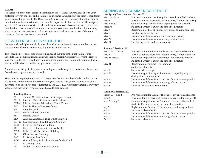#### **EXAMS**

All classes will meet at the assigned examination times. Check your syllabus or with your professor to verify the time and location of your exams. Attendance at the exam is mandatory unless excused in writing by the Department Chairperson or Dean. Any student missing an examination without a written excuse from the Department Chair or Dean will be assigned a grade of F. Examinations will be held in the same rooms as class meetings except for mass examinations. Instructors will announce the locations of mass examinations. Students may, with the instructor's permission, take an examination with another section of the same course; no further permission is required.

## **HOW TO READ THIS SCHEDULE**

Courses are listed alphabetically by discipline. Classes are listed by course number, section code, number of credits, course title, day & time, and instructor.

This schedule presents course offerings planned at the time of the publication of this Schedule. This document is not a contract; Francis Marion University reserves the right to alter course offerings if enrollments and resources require. FMU does not guarantee that a student will be able to enroll in any particular course.

An up-to-date listing of all courses – including new and changed sections – may be accessed from the web page at www.fmarion.edu.

Many courses require prerequisites or corequisites that may not be included in this course listing. Please refer to your university catalog and consult with your academic adviser for information on specific course requirements. The 2021-2022 University Catalog is currently available via the web at www.fmarion.edu/academics/catalogs.

#### **Building Codes**

| CC          | Thomas C. Stanton Academic Computer Center     |
|-------------|------------------------------------------------|
| <b>CCHS</b> | Luther F. Carter Center for Health Sciences    |
| <b>CEMC</b> | John K. Cauthen Educational Media Center       |
| <b>FAC</b>  | Peter D. Hyman Fine Arts Center                |
| FH.         | Founders Hall                                  |
| <b>GAC</b>  | Griffin Athletic Complex                       |
| HC          | <b>Honors Center</b>                           |
| HO          | Allard A. Allston Housing Office Complex       |
| <b>LMEC</b> | Leatherman Medical Education Complex           |
| <b>LNB</b>  | Frank B. Lee Nursing Building                  |
| LSF         | Hugh K. Leatherman Sr. Science Facility        |
| <b>MSB</b>  | Robert E. McNair Science Building              |
| OS.         | Office Services Building                       |
| <b>PAC</b>  | Performing Arts Center                         |
| <b>RCC</b>  | Gail and Terry Richardson Center for the Child |
| RS          | Recording Studio                               |
|             |                                                |

UC Walter D. Smith University Center

## **SPRING AND SUMMER SCHEDULE**

#### **Late Spring Term, Summer Session 2022**

| March 23-May 2 | Pre-registration for Late Spring for currently enrolled students   |
|----------------|--------------------------------------------------------------------|
| May 3          | Final date for pre-registered students to pay fees for Late Spring |
| May 3-May 9    | Continuous registration for Late Spring term for currently         |
| enrolled       | students; payment is due at the time of registration               |
| May 9          | Registration for Late Spring for new and continuing students       |
| May 10         | Late Spring classes begin                                          |
| May 17         | Last day to withdraw from a course without penalty                 |
| May 24         | Last day to withdraw from an undergraduate course                  |
| May 27         | Late Spring classes end; examinations                              |

#### **Summer I Session 2022**

| March 23 - May 23<br>May 24 | Pre-registration for Summer I for currently enrolled students<br>Final date for pre-registered students to pay fees for Summer I |
|-----------------------------|----------------------------------------------------------------------------------------------------------------------------------|
| May 25-May 31               | Continuous registration for Summer I for currently enrolled                                                                      |
|                             | students; payment is due at the time of registration                                                                             |
| May 31                      | Registration for Summer I for new and                                                                                            |
|                             | continuing students                                                                                                              |
| June 1                      | Summer I classes begin                                                                                                           |
| June 19                     | Last day to apply for degree for student completing degree                                                                       |
|                             | during either summer term                                                                                                        |
| June 13                     | Last day to withdraw from a course without academic penalty                                                                      |
| June 28                     | Last day to withdraw from an undergraduate course                                                                                |
| June 30                     | Summer I classes end; examinations                                                                                               |
|                             |                                                                                                                                  |

#### **Summer II Session 2022**

**8**

| March 23 - June 27 | Pre-registration for Summer II for currently enrolled students   |
|--------------------|------------------------------------------------------------------|
| June 28            | Final date for pre-registered students to pay fees for Summer II |
| June 28 - July 5   | Continuous registration for Summer II for currently enrolled     |
|                    | students; Payment is due at the time of registration             |
| July 5             | Registration for Summer II for new and continuing students       |
| July 6             | Summer II classes begin                                          |
| July 14            | Last day to withdraw from a course without academic penalty      |
| July 28            | Last day to withdraw from an undergraduate course                |
| Aug. 8             | Summer II classes end                                            |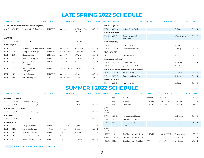## **LATE SPRING 2022 SCHEDULE**

| <b>Section</b>        | <b>Course</b> | <b>Days</b>                              | <b>Times</b>  | <b>Instructor</b> |                    | Form. Credits | <b>Section</b> | <b>Course</b>             | <b>Days</b>                                    | <b>Times</b> | <b>Instructor</b> |                          | Form. Credits   |  |
|-----------------------|---------------|------------------------------------------|---------------|-------------------|--------------------|---------------|----------------|---------------------------|------------------------------------------------|--------------|-------------------|--------------------------|-----------------|--|
|                       |               | AFRICAN & AFRICAN AMERICAN STUDIES(AAAS) |               |                   |                    |               |                | <b>BUSINESS (BUSI)</b>    |                                                |              |                   |                          |                 |  |
| AAAS                  | 201-HON       | Rhetoric Civil Rights Movem              | <b>MTWTHF</b> | 9AM - 12PM        | Dr. Meredith Love. | LEC 3         | <b>BUSI</b>    | $605-1A$                  | <b>Business Tools: Excel</b>                   |              |                   | E. Sharer                | $ON \quad 1$    |  |
|                       |               |                                          |               |                   | T. Couch           |               |                | <b>EDUCATION (EDUC)</b>   |                                                |              |                   |                          |                 |  |
| ART (ART)             |               |                                          |               |                   |                    |               | <b>EDUC</b>    | 629-ON                    | Classroom Mgt and<br>Supervison                |              |                   | J. Stewart-Ginsburg ON 3 |                 |  |
| ART                   | 101-ON        | Intro to Art                             |               |                   | C. Jeffcoat        | ON 3          |                | <b>ENGLISH (ENGL)</b>     |                                                |              |                   |                          |                 |  |
| <b>BIOLOGY (BIOL)</b> |               |                                          |               |                   |                    |               | <b>ENGL</b>    | 250-ON                    | Intro. to Literature                           |              |                   | N. Zaice                 | ON 3            |  |
| <b>BIOL</b>           | $102 - 1$     | Biology for Education Majors             | <b>MTWTHF</b> | 9AM - 12PM        | N. Harness         | LEC 4         | <b>ENGL</b>    | 313-ON                    | Lit for the Young Child                        |              |                   | L. Weldy                 | ON 3            |  |
| <b>BIOL</b>           | $102L - 1$    | Biology for Educ Maj Lab                 | <b>MTWTH</b>  | 12:30PM - 1:30PM  | N. Harness         | LAB 0         |                | HISTORY (HIST)            |                                                |              |                   |                          |                 |  |
| <b>BIOL</b>           | $205 - 1$     | Human Anatomy                            | <b>MTWTHF</b> | 9AM - 12PM        | L. Turner          | LEC 4         | <b>HIST</b>    | $346-1$                   | Civil War America                              |              |                   | W. Bolt                  | LEC 3           |  |
| <b>BIOL</b>           | $205L-1$      | Human Anatomy Lab                        | <b>MTWTH</b>  | $1PM - 5PM$       | L. Turner          | LAB 0         |                | <b>MATHEMATICS (MATH)</b> |                                                |              |                   |                          |                 |  |
| <b>BIOL</b>           | $306-1$       | Spec Topics Island                       | <b>MTWTHF</b> | 9AM - 12PM        | P. Zwiers          | LEC 1         | <b>MATH</b>    | 105L-ON                   | <b>Extended Studio</b>                         |              |                   | K. McCoy                 | $ON \t1$        |  |
|                       |               | Biogeography                             |               |                   |                    |               | <b>MATH</b>    | $330-1$                   | Special Topics in Mathematics                  |              |                   | K. LoPresto              | LEC 3           |  |
| <b>BIOL</b>           | $306L - 1$    | Spec Topics Island<br>Biogeography       | <b>MTWTH</b>  | 12:30PM - 4:30PM  | P. Zwiers          | LAB 0         |                |                           | <b>MASTER OF BUSINESS ADMINISTRATION (MBA)</b> |              |                   |                          |                 |  |
| <b>BIOL</b>           | $317 - 1$     | Marine Ecology                           | <b>MTWTHF</b> | 9AM - 12PM        | L. Pike            | LEC 4         | <b>MBA</b>     | 715-ON                    | Systems Design                                 |              |                   | H. Setzler               | ON 3            |  |
| <b>BIOL</b>           | $317L-1$      | Marine Ecology Lab                       | <b>TWTH</b>   | 12:01PM - 5:00PM  | L. Pike            | LAB 0         | <b>MBA</b>     | 720A-ON                   | Contemp Iss/Innov Pract                        |              |                   | K. Belanger              | $ON \t1$        |  |
|                       |               |                                          |               |                   |                    |               |                | <b>PHILOSOPHY (PRS)</b>   |                                                |              |                   |                          |                 |  |
|                       |               |                                          |               |                   |                    |               | PRS            | 203-ON                    | Symbolic Logic                                 |              |                   | M. Turner                | ON <sub>3</sub> |  |

## **SUMMER I 2022 SCHEDULE**

| <b>Section</b>                       | <b>Course</b>                           |                                                    | Days | <b>Times</b>         | <b>Instructor</b>          |                        | Form. Credits  |                          | <b>Section</b>                 | <b>Course</b> | <b>Days</b>                            | <b>Times</b> | <b>Instructor</b> |               | Form. Credits    |
|--------------------------------------|-----------------------------------------|----------------------------------------------------|------|----------------------|----------------------------|------------------------|----------------|--------------------------|--------------------------------|---------------|----------------------------------------|--------------|-------------------|---------------|------------------|
|                                      | <b>ACCOUNTING (ACTG)</b>                |                                                    |      |                      |                            |                        |                |                          | <b>BIOL</b>                    | $236L-1$      | Hum Phys Healthcare-Lab                | TWTH         | $1PM - 4PM$       | T. Barbeau    | LAB 0            |
| ACTG                                 | $201$ -ON                               | Financial Accounting                               |      |                      |                            | S. Dell                | ON             | $\overline{\phantom{a}}$ | <b>BIOL</b>                    | $401 - 1$     | Genetics                               | <b>MTWTH</b> | 10AM - 12PM       | J. Camper     | LEC 4            |
| ACTG                                 | 323-ON                                  | Financial Reporting I                              |      |                      |                            | K. Poston              | ON 3           |                          | <b>BIOL</b>                    | $401L - 1$    | Genetics Lab                           | TWTH         | $1PM - 4PM$       | J. Camper     | LAB 0            |
| ANTH                                 | <b>ANTHROPOLOGY (ANTH)</b><br>$100$ -ON | Intro to Anthropology                              |      |                      |                            | K. Molinari            | ON 3           |                          | BUSI-<br><b>NESS</b><br>(BUSI) |               |                                        |              |                   |               |                  |
| ART (ART)                            |                                         |                                                    |      |                      |                            |                        |                |                          | <b>BUSI</b>                    | 150-ON        | Fundamentals of Business               |              |                   | M. Dittman    | ON <sub>3</sub>  |
| ART                                  | $101$ -ON                               | Intro to Art                                       |      |                      |                            | H. Frye                | ON 3           |                          | <b>BUSI</b>                    | 305-ON        | Appl Stat for Econ & Bus               |              |                   | R. Yanson     | ON <sub>3</sub>  |
| <b>BIOLOGY (BIOL)</b><br><b>BIOL</b> | $105 - 1$                               | <b>Biological Sciences I</b>                       |      | <b>MTWTH</b>         | 10AM - 12PM                | E. Jones               | LEC 3          |                          | <b>BUSI</b>                    | 605-1B        | Business Tools: Accounting/<br>Finance |              |                   | N. Riley      | ON 1             |
| <b>BIOL</b>                          | $115L-1$                                | Lab for Biol Sciences I                            |      | TWTH                 | $1PM - 4PM$                | E. Jones               | $LAB$ 1        |                          | CHEM-<br><b>ISTRY</b>          |               |                                        |              |                   |               |                  |
| <b>BIOL</b>                          | $215 - 1$                               | Microbio for Hlthcare                              |      | <b>MTWTH</b>         | 10AM - 12PM                | G. Pryor               | LEC 4          |                          | <b>CHEM</b>                    | $111 - 1$     | Gen Chem I: General Concepts MTWTH     |              | 10AM-11:50AM      | T. Stephenson | LEC 3            |
| <b>BIOL</b><br><b>BIOL</b>           | $215L-1$<br>$236-1$                     | Microbio/Healthcare-Lab<br>Human Phys for Hlthcare |      | TWTH<br><b>MTWTH</b> | $1PM - 4PM$<br>10AM - 12PM | G. Pryor<br>T. Barbeau | LAB 0<br>LEC 4 |                          | CHEM                           | $111$ -ON     | Gen Chem I: General Concepts           |              |                   | J. McCutcheon | ON <sub>3</sub>  |
|                                      |                                         |                                                    |      |                      |                            |                        |                |                          | CHEM                           | $111L-1$      | Gen Chem I Lab: Cncpt Lab              | <b>TTH</b>   | $1PM - 4PM$       | L. Peterson   | LAB <sub>1</sub> |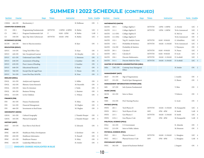## **SUMMER I 2022 SCHEDULE (CONTINUED)**

| <b>Section</b>        | <b>Course</b>                | <b>Days</b>                                 | <b>Times</b> | <b>Instructor</b> |                    | Form. Credits    | <b>Section</b>        | <b>Course</b>                   | <b>Days</b>                                    | <b>Times</b> | <b>Instructor</b> |                 | Form. Credits   |  |
|-----------------------|------------------------------|---------------------------------------------|--------------|-------------------|--------------------|------------------|-----------------------|---------------------------------|------------------------------------------------|--------------|-------------------|-----------------|-----------------|--|
| CHEM                  | 404-ON                       | Biochemistry I                              |              |                   | B. Holliman        | ON 3             |                       | <b>MATHEMATICS (MATH)</b>       |                                                |              |                   |                 |                 |  |
|                       | <b>COMPUTER SCIENCE (CS)</b> |                                             |              |                   |                    |                  | MATH                  | $105 - 1$                       | College Algebra I                              | <b>MTWTH</b> | 12PM - 1:50PM     | A. Dowdy        | LEC 3           |  |
| CS                    | $190 - 1$                    | Programming Fundamentals                    | <b>MTWTH</b> | 1:30PM - 4:30PM   | K. Rubin           | LEC 3            | MATH                  | $111 - 1$                       | College Algebra II                             | <b>MTWTH</b> | 12PM - 1:50PM     | To be Announced | LEC 3           |  |
| CS                    | 190L-1                       | Program Fundamentals Lab                    | F            | 9AM - 12PM        | K. Rubin           | LAB <sub>1</sub> | MATH                  | 111-ON1                         | College Algebra II                             |              |                   | K. McCoy        | ON <sub>3</sub> |  |
| CS                    | 330-ON                       | Spec.Top: Intro Cybersecuri                 | <b>MTWTH</b> | $10AM - 1PM$      | K. Rubin           | LEC 3            | <b>MATH</b>           | 111-ON2                         | College Algebra II                             |              |                   | To be Announced | ON 3            |  |
|                       | <b>ECONOMICS (ECON)</b>      |                                             |              |                   |                    |                  | <b>MATH</b>           | $132 - 1$                       | Trig W/ Analytic Geom                          | <b>MTWTH</b> | 8AM - 9:50AM      | G. Schnibben    | LEC 3           |  |
|                       | ECON 204-ON                  | Intro to Macroeconomics                     |              |                   | B. Kyer            | ON 3             | <b>MATH</b>           | 134-1                           | Probability & Statistics                       | <b>MTWTH</b> | 10AM - 11:50AM    | To be Announced | LEC 3           |  |
|                       | <b>EDUCATION (EDUC)</b>      |                                             |              |                   |                    |                  | <b>MATH</b>           | 134-ON                          | Probability & Statistics                       |              |                   | S. Waymyers     | ON 3            |  |
| EDUC                  | 310-ON                       | Using Tech Effect Class                     |              |                   | D. Kaur            | ON 3             | <b>MATH</b>           | $201-1$                         | Calculus I                                     | <b>MTWTH</b> | 8AM - 9:50AM      | N. Panza        | LEC 3           |  |
| <b>EDUC</b>           | 420-ON                       | Intr: Exceptional Learner                   |              |                   | M. Murphy          | ON 3             | <b>MATH</b>           | $202 - 1$                       | Calculus II                                    | <b>MTWTH</b> | 8AM - 9:50AM      | D. Scott        | LEC 3           |  |
| <b>EDUC</b>           | 621-ON                       | Understand Learn Differ                     |              |                   | L. Simmons         | ON 3             | <b>MATH</b>           | $230-1$                         | Discrete Mathematics                           | <b>MTWTH</b> | 10AM - 11:50AM    | D. Scofield     | LEC 3           |  |
| <b>EDUC</b>           | 638-ON                       | Assessment of Reading                       |              |                   | J. Gunther         | ON 3             | <b>MATH</b>           | $511-1$                         | Discrete Math for Tchrs                        | <b>MTWTH</b> | 10AM - 11:50AM    | D. Scofield     | LEC 3           |  |
| <b>EDUC</b>           | 639-ON                       | Pract: Assess of Reading                    |              |                   | J. Gunther         | $ON \t1$         |                       |                                 | <b>MASTER OF BUSINESS ADMINISTRATION (MBA)</b> |              |                   |                 |                 |  |
| <b>EDUC</b>           | 648-ON                       | <b>Educational Research</b>                 |              |                   | D. Kaur            | ON 3             | MBA                   | 720C-ON                         | Contemp Issue Managerial                       |              |                   | H. Setzler      | ON 2            |  |
| <b>EDUC</b>           | 760-ON                       | Except:Char & Legal Foun                    |              |                   | C. Nixon           | ON 3             |                       |                                 | Ethics                                         |              |                   |                 |                 |  |
| <b>EDUC</b>           | 761-ON                       | Learn Dis:Char, Id & Pla                    |              |                   | K. Fries           | ON 3             |                       | <b>MANAGEMENT (MGT)</b>         |                                                |              |                   |                 |                 |  |
| <b>ENGLISH (ENGL)</b> |                              |                                             |              |                   |                    |                  | <b>MGT</b>            | 351-ON                          | Mgt of Organizations                           |              |                   | J. Aniello      | ON 3            |  |
| ENGL                  | $101$ -ON                    | Analysis and Argument                       |              |                   | S. Miller          | ON 3             | <b>MGT</b>            | 355-ON                          | Prod & Oper Management                         |              |                   | E. Sharer       | ON <sub>3</sub> |  |
| ENGL                  | 102-ON                       | Rhetoric Genre Research                     |              |                   | M. Reynolds        | ON <sub>3</sub>  |                       |                                 | <b>MANAGEMENT INFORMATION SYSTEMS (MIS)</b>    |              |                   |                 |                 |  |
| ENGL                  | $250$ -ON                    | Intro.To Literature                         |              |                   | J. Tuttle          | ON <sub>3</sub>  | <b>MIS</b>            | 327-ON                          | Info Systems Fundamental                       |              |                   | Y. Shin         | ON <sub>3</sub> |  |
| ENGL                  | 305-ON                       | <b>Business Writing</b>                     |              |                   | L. Banister        | ON <sub>3</sub>  | <b>MUSIC (MUSI)</b>   |                                 |                                                |              |                   |                 |                 |  |
| ENGL                  | 315-ON                       | Lit for Children                            |              |                   | C. Wilson          | ON 3             | MUSI                  | 101-ON                          | Intro to Music                                 |              |                   | T. Roberts      | ON 3            |  |
| <b>FINANCE (FIN)</b>  |                              |                                             |              |                   |                    |                  | <b>NRN</b>            |                                 |                                                |              |                   |                 |                 |  |
| FIN                   | 301-ON                       | Finance Fundamentals                        |              |                   | N. Riley           | ON 3             | <b>NRN</b>            | 332-ON                          | Prof. Nursing Practice                         |              |                   | G. Scott        | ON 3            |  |
| FIN                   | 341-ON                       | Financial Management                        |              |                   | M. Hughes          | ON 3             | <b>PHYSICS (PHYS)</b> |                                 |                                                |              |                   |                 |                 |  |
| FIN                   | 466-ON                       | Investments in Real Estate                  |              |                   | M. Hughes          | ON 3             | PHYS                  | $201 - 1$                       | Tech Physics II                                | <b>MTWTH</b> | 10AM - 11:50AM    | M. Kanaparthi   | LEC 4           |  |
|                       | <b>GEOGRAPHY (GEOG)</b>      |                                             |              |                   |                    |                  | PHYS                  | $201L-1$                        | Tech Physics II Lab                            | MW           | $1PM - 4PM$       | R. Smith        | $LAB$ 0         |  |
| GEOG                  | $101$ -ON                    | Cultural Geography                          |              |                   | J. Titanski-Hooper | ON 3             | PHYS                  | $215 - 1$                       | Gen Physics I                                  | <b>MTWTH</b> | 10AM - 11:50AM    | R. Smith        | LEC 4           |  |
| GEOG                  | 105-ON                       | Physical Geography                          |              |                   | J. Titanski-Hooper | ON 3             | PHYS                  | $215L-1$                        | Gen Physics I Lab                              | MW           | 1PM - 4PM         | M. Kanaparthi   | $LAB$ 0         |  |
| HISTORY (HIST)        |                              |                                             |              |                   |                    |                  |                       | <b>POLITICAL SCIENCE (POLI)</b> |                                                |              |                   |                 |                 |  |
| HIST                  | 103-ON                       | Euro Hist to Fnch Revol                     |              |                   | E. Edwards         | ON 3             | POLI                  | $101$ -ON                       | U S Government                                 |              |                   | R. Almeida      | ON 3            |  |
| <b>IPHC</b>           |                              |                                             |              |                   |                    |                  | POLI                  | 215-ON                          | Intro to Public Admin                          |              |                   | M. Brunson      | ON 3            |  |
| IPHC                  | 448-ON                       | Healthcare Policy Development               |              |                   | S. Kershner        | ON <sub>3</sub>  |                       | <b>PHYSICAL SCIENCE (PSCI)</b>  |                                                |              |                   |                 |                 |  |
| IPHC                  | 450-ON                       | Healthcare Informatics                      |              |                   | N. Russell         | ON 3             | <b>PSCI</b>           | $101 - 1$                       | Physical Science I                             | <b>MTWTH</b> | 10AM - 11:50AM    | L. Manglass     | LEC 4           |  |
| <b>IPHC</b>           | 451-ON                       | Healthcare Finance                          |              |                   | N. Riley           | ON 3             | <b>PSCI</b>           | $101L - 1$                      | Physical Science I Lab                         | MW           | $1PM - 4PM$       | L. Manglass     | $LAB$ 0         |  |
| IPHC                  | 456-ON                       | Leadership Hlthcare Envi                    |              |                   | H. Setzler         | ON 3             |                       | <b>PSYCHOLOGY (PSYC)</b>        |                                                |              |                   |                 |                 |  |
|                       |                              | <b>GRADUATE COURSES HIGHLIGHTED IN BLUE</b> |              |                   |                    |                  | <b>PSYC</b>           | 302-ON                          | Quant & Psychomet Method                       |              |                   | J. Sargent      | ON 3            |  |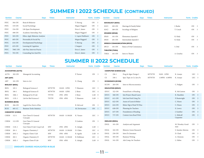## **SUMMER I 2022 SCHEDULE (CONTINUED)**

| Section     | Course  | <b>Days</b>                    | <b>Times</b> | <b>Instructor</b> |                    | Form. Credits   |                         | <b>Section</b>        | Course                  | <b>Days</b>                        | <b>Times</b> | <b>Instructor</b> | Form. Credits   |
|-------------|---------|--------------------------------|--------------|-------------------|--------------------|-----------------|-------------------------|-----------------------|-------------------------|------------------------------------|--------------|-------------------|-----------------|
| <b>PSYC</b> | 304-ON  | Brain & Behavior               |              | T. Herzog         |                    | ON              |                         |                       | <b>SOCIOLOGY (SOCI)</b> |                                    |              |                   |                 |
| <b>PSYC</b> | 319-ON  | Social Psychology              |              |                   | Megan Haggard      | ON 3            |                         | SOCI                  | 205-ON                  | Marriage & Family Relati           |              | J. Burke          | ON <sub>3</sub> |
| PSYC        | 334-ON  | Life Span Development          |              | Erica L. James    |                    | ON              | $\overline{\mathbf{3}}$ | SOCI                  | 389-ON                  | Sociology of Religion              |              | T. Couch          | ON 3            |
| <b>PSYC</b> | 498-ON  | Academic Internship, Psyc      |              |                   | Megan Haggard      | ON 3            |                         | <b>SPANISH (SPAN)</b> |                         |                                    |              |                   |                 |
| PSYC        | 503-ON  | Ethics Appl. Behavior Analysis |              |                   | L. Lapen Parkhurst | ON <sub>3</sub> |                         | SPAN                  | $101$ -ON               | Elementary Spanish I               |              | K. Kiely          | ON 3            |
| <b>PSYC</b> | 605-ON  | Personality & Social Psy       |              | Megan Haggard     |                    | ON 3            |                         | SPAN                  | 201-ON                  | Intermediate Spanish I             |              | K. Kiely          | ON 3            |
| <b>PSYC</b> | 634-ON  | Developmental Psychology       |              | T. Herzog         |                    | $ON \quad 3$    |                         |                       |                         | <b>SPEECH COMMUNICATION (SPCO)</b> |              |                   |                 |
| <b>PSYC</b> | 635-ON  | Learning & Cognition           |              | J. Sargent        |                    | ON 3            |                         | <b>SPCO</b>           | $101$ -ON               | Basics of Oral Communica           |              | S. Diel           | ON <sub>3</sub> |
| <b>PSYC</b> | 700C-ON | Adv Psyc Interven Practic      |              | Erica L. James    |                    | ON 1            |                         | <b>THEATRE (THEA)</b> |                         |                                    |              |                   |                 |
| <b>PSYC</b> | 703-ON  | Counseling Soci Just/Div       |              | Erica L. James    |                    | ON 3            |                         | <b>THEA</b>           | $101$ -ON               | Intro to Theatre                   |              | A. Gourley        | ON 3            |

## **SUMMER II 2022 SCHEDULE**

| <b>Section</b>        | <b>Course</b>            |                                   | <b>Days</b> | <b>Times</b> | <b>Instructor</b> |               | Form. Credits   | <b>Section</b>        | <b>Course</b>                | <b>Days</b>               | <b>Times</b> | Instructor      |                         | Form. Credits   |  |
|-----------------------|--------------------------|-----------------------------------|-------------|--------------|-------------------|---------------|-----------------|-----------------------|------------------------------|---------------------------|--------------|-----------------|-------------------------|-----------------|--|
|                       | <b>ACCOUNTING (ACTG)</b> |                                   |             |              |                   |               |                 |                       | <b>COMPUTER SCIENCE (CS)</b> |                           |              |                 |                         |                 |  |
| ACTG                  | 202-ON                   | Managerial Accounting             |             |              |                   | P. Turner     | ON 3            | <b>CS</b>             | $226 - 1$                    | Prog & Algor Design I     | <b>MTWTH</b> | 9AM - 12PM      | K. Araujo               | LEC 3           |  |
| <b>ART (ART)</b>      |                          |                                   |             |              |                   |               |                 | <b>CS</b>             | $330 - 1$                    | Spec Topic in Cs: Java Fx | <b>MTWTH</b> | 1:30PM - 4:30PM | K. Araujo               | LEC 3           |  |
| ART                   | 101-ON                   | Intro to Art                      |             |              |                   | E. Chang      | ON 3            |                       | <b>ECONOMICS (ECON)</b>      |                           |              |                 |                         |                 |  |
| <b>BIOLOGY (BIOL)</b> |                          |                                   |             |              |                   |               |                 | ECON                  | 203-ON                       | Intro to Microeconomics   |              |                 | C. Padgett              | ON 3            |  |
| <b>BIOL</b>           | $105 - 1$                | <b>Biological Sciences I</b>      |             | <b>MTWTH</b> | 10AM - 12PM       | T. Shannon    | LEC 3           |                       | <b>EDUCATION (EDUC)</b>      |                           |              |                 |                         |                 |  |
| <b>BIOL</b>           | $106-1$                  | <b>Biological Sciences II</b>     |             | <b>MTWTH</b> | 10AM - 12PM       | J. Slone      | LEC 4           | <b>EDUC</b>           | 322-ON                       | Found/Instr. of Reading   |              |                 | K. McCuiston            | ON <sub>3</sub> |  |
| <b>BIOL</b>           | $106L-1$                 | Biological Sci II Lab             |             | <b>TWTH</b>  | $1PM - 4PM$       | J. Slone      | LAB 0           | <b>EDUC</b>           | 560-ON                       | Intr:Project-Based Learn  |              |                 | K. Haselden             | ON 3            |  |
| <b>BIOL</b>           | $115L-1$                 | Lab for Biol Sciences I           |             | <b>TWTH</b>  | $1PM - 4PM$       | T. Shannon    | LAB 1           | <b>EDUC</b>           | 611-ON                       | Solv Inst Prob Using Tec  |              |                 | P. Boatwright           | ON 3            |  |
|                       | <b>BUSINESS (BUSI)</b>   |                                   |             |              |                   |               |                 | <b>EDUC</b>           | 622-ON                       | Assess of Learn & Behav   |              |                 | C. Nixon                | ON 3            |  |
| <b>BUSI</b>           | 206-ON                   | Legal & Soc Envir of Bus          |             |              |                   | B. McLeod     | ON 3            | <b>EDUC</b>           | 624-ON                       | Behav Mgt of Stud W/Disa  |              |                 | C. Nixon                | ON 3            |  |
| <b>BUSI</b>           | 605-1C                   | <b>Business Tools: Statistics</b> |             |              |                   | M. Devincenzo | ON <sub>1</sub> | <b>EDUC</b>           | 628-ON                       | Planning for Teachers     |              |                 | E. Lowry                | ON 3            |  |
|                       | <b>CHEMISTRY (CHEM)</b>  |                                   |             |              |                   |               |                 | <b>EDUC</b>           | 637-ON                       | Foundations of Reading    |              |                 | J. Gunther              | ON 3            |  |
| <b>CHEM</b>           | $112 - 1$                | Gen Chem II: General<br>Concepts  |             | <b>MTWTH</b> | 10AM - 11:50AM    | K. Varazo     | LEC 3           | <b>EDUC</b>           | 737-ON                       | Content Area Read Writi   |              |                 | L. Midcalf<br>Carpenter | ON 3            |  |
| <b>CHEM</b>           | $112$ -ON                | Gen Chem II: General              |             |              |                   | D. Jenkins    | ON 3            | <b>ENGLISH (ENGL)</b> |                              |                           |              |                 |                         |                 |  |
|                       |                          | Concepts                          |             |              |                   |               |                 | ENGL                  | $101$ -ON                    | Analysis and Argument     |              |                 | M. Woosley-Good-        | ON <sub>3</sub> |  |
| <b>CHEM</b>           | $112L-1$                 | Gen Chem II Lab: Cncpt Lab        |             | MW           | $1PM - 4PM$       | E. Adogla     | LAB 1           |                       |                              |                           |              |                 | man                     |                 |  |
| <b>CHEM</b>           | $201 - 1$                | Organic Chemistry I               |             | <b>MTWTH</b> | 10AM - 11:50AM    | D. Clabo      | LEC 4           | ENGL                  | 102-ON                       | Rhetoric Genre Research   |              |                 | S. Smolen-Morton        | ON 3            |  |
| <b>CHEM</b>           | $201L-1$                 | Organic Chem I Lab                |             | MW           | $1PM - 4PM$       | B. Aguila     | LAB 0           | <b>ENGL</b>           | $250$ -ON                    | Intro.To Literature       |              |                 | D. Clark                | ON 3            |  |
| <b>CHEM</b>           | $202 - 1$                | Organic Chemistry II              |             | <b>MTWTH</b> | 10AM - 11:50AM    | B. Holliman   | LEC 4           | <b>ENGL</b>           | 305-ON                       | <b>Business Writing</b>   |              |                 | A. Clemons              | ON 3            |  |
| <b>CHEM</b>           | $202L - 1$               | Organic Chem II Lab               |             | MW           | $1PM - 4PM$       | E. Adogla     | LAB 0           | ENGL                  | 341-ON                       | Adv.Comp. for Teachers    |              |                 | L. Fallon               | ON 3            |  |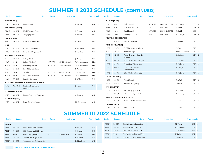## **SUMMER II 2022 SCHEDULE (CONTINUED)**

| <b>Section</b>            | <b>Course</b>           | <b>Days</b>                                          | <b>Times</b> | <b>Instructor</b>               |                                    | Form. Credits   |                         | <b>Section</b> | <b>Course</b>                   | <b>Days</b>                            | <b>Times</b>  | Instructor     |                 | Form. Credits   |  |
|---------------------------|-------------------------|------------------------------------------------------|--------------|---------------------------------|------------------------------------|-----------------|-------------------------|----------------|---------------------------------|----------------------------------------|---------------|----------------|-----------------|-----------------|--|
| <b>FINANCE (FIN)</b>      |                         |                                                      |              |                                 |                                    |                 |                         |                | <b>PHYSICS (PHYS)</b>           |                                        |               |                |                 |                 |  |
| FIN                       | 347-ON                  | Investments I                                        |              |                                 | J. Serrano                         | ON 3            |                         | PHYS           | $202 - 1$                       | Tech Physics III                       | <b>MTWTH</b>  | 10AM - 11:50AM | M. Kanaparthi   | LEC 4           |  |
|                           | <b>GEOGRAPHY (GEOG)</b> |                                                      |              |                                 |                                    |                 |                         | PHYS           | $202L-1$                        | Tech Physics III Lab                   | $\text{MW}{}$ | $1PM - 4PM$    | R. Smith        | LAB 0           |  |
| GEOG                      | $102$ -ON               | World Regional Geog                                  |              |                                 | S. Brown                           | ON 3            |                         | PHYS           | $216-1$                         | Gen Physics II                         | <b>MTWTH</b>  | 10AM - 11:50AM | R. Smith        | LEC 4           |  |
| GEOG                      | 205-ON                  | Geography of S.C.                                    |              |                                 | S. Brown                           | ON              | $\overline{\mathbf{3}}$ | PHYS           | $216L-1$                        | Gen Physics II Lab                     | MW            | $1PM - 4PM$    | M. Kanaparthi   | LAB 0           |  |
| HISTORY (HIST)            |                         |                                                      |              |                                 |                                    |                 |                         |                | <b>POLITICAL SCIENCE (POLI)</b> |                                        |               |                |                 |                 |  |
| HIST                      | 102-ON                  | U S History Since 1877                               |              |                                 | J. Kirby                           | ON 3            |                         | POLI           | $103$ -ON                       | Intro to Pol Science                   |               |                | D. Tatum        | ON 3            |  |
| IPHC                      |                         |                                                      |              |                                 |                                    |                 |                         |                | <b>PSYCHOLOGY (PSYC)</b>        |                                        |               |                |                 |                 |  |
| IPHC                      | 445-ON                  | Population-Focused Care                              |              |                                 | C. Umeweni                         | ON 3            |                         | <b>PSYC</b>    | 315-ON                          | Child Behav:Grow & Devel               |               |                | A. Cooper       | ON 3            |  |
| IPHC                      | $457 - ON$              | Professional Capstone Co                             |              |                                 | S. Kershner                        | ON <sub>3</sub> |                         | <b>PSYC</b>    | 325-ON                          | Abnormal Psyc                          |               |                | To be Announced | ON 3            |  |
| <b>MATHEMATICS (MATH)</b> |                         |                                                      |              |                                 |                                    | ON <sub>3</sub> |                         | <b>PSYC</b>    | 502-ON                          | Research in Appl. Behavior<br>Analysis |               |                | C. Bullock      | ON 3            |  |
| MATH                      | $105$ -ON               | College Algebra I                                    | <b>MTWTH</b> |                                 | J. Phillips                        | LEC 3           |                         | <b>PSYC</b>    | 505-ON                          | Found of Behavior Analysis             |               |                | C. Bullock      | ON 3            |  |
| MATH<br>MATH              | $111 - 1$<br>$134-1$    | College Algebra II                                   | <b>MTWTH</b> | 10AM - 11:50AM<br>12PM - 1:50PM | To be Announced<br>To be Announced | LEC 3           |                         | <b>PSYC</b>    | 601-ON                          | Psyc of Intell/Neuro Disa              |               |                | S. Williams     | ON 3            |  |
| MATH                      | $134$ -ON               | Probability & Statistics<br>Probability & Statistics |              |                                 | F. Arroyo                          | ON 3            |                         | <b>PSYC</b>    | 709-ON                          | Consult. W/ Diverse<br>Communities     |               |                | A. Cooper       | ON 3            |  |
| MATH                      | $203 - 1$               | Calculus III                                         | <b>MTWTH</b> | 8AM - 9:50AM                    | T. Schnibben                       | LEC 3           |                         | <b>PSYC</b>    | 759-ON                          | Sch. Wide Prev, Interv, Cri            |               |                | S. Williams     | ON 3            |  |
| MATH                      | $306-1$                 | Multivariable Calculus                               | <b>MTWTH</b> | 12PM - 1:50PM                   | To be Announced                    | LEC 3           |                         |                | <b>SOCIOLOGY (SOCI)</b>         |                                        |               |                |                 |                 |  |
| MATH                      | $370$ -ON               | <b>Intuitive Geometry</b>                            |              |                                 | S. O'Kelley                        | ON 3            |                         | SOCI           | $201$ -ON                       | Prin of Sociology                      |               |                | R. Ward         | ON <sub>3</sub> |  |
|                           |                         | <b>MASTER OF BUSINESS ADMINISTRATION (MBA)</b>       |              |                                 |                                    |                 |                         | SOCI           | 343-ON                          | Juvenile Delinquency                   |               |                | J. Doucet       | ON 3            |  |
| MBA                       | 720B-ON                 | Contemp Issues Econ<br>Healthcare                    |              |                                 | J. Munn                            | ON 3            |                         |                | <b>SPANISH (SPAN)</b>           |                                        |               |                |                 |                 |  |
|                           | <b>MANAGEMENT (MGT)</b> |                                                      |              |                                 |                                    |                 |                         | SPAN           | $102$ -ON                       | Elementary Spanish II                  |               |                | R. Brown        | ON 3            |  |
| MGT                       | 353-ON                  | Human Resource Management                            |              |                                 | A. Iglesias                        | ON 3            |                         | SPAN           | 202-ON                          | Intermediate Spanish II                |               |                | A. Crawley      | ON 3            |  |
|                           | <b>MARKETING (MKT)</b>  |                                                      |              |                                 |                                    |                 |                         |                |                                 | <b>SPEECH COMMUNICATION (SPCO)</b>     |               |                |                 |                 |  |
| МКТ                       | 331-ON                  | Principles of Marketing                              |              |                                 | M. Devincenzo                      | ON 3            |                         | <b>SPCO</b>    | $101$ -ON                       | Basics of Oral Communication           |               |                | L. Diop         | ON 3            |  |
|                           |                         |                                                      |              |                                 |                                    |                 |                         |                | <b>THEATRE (THEA)</b>           |                                        |               |                |                 |                 |  |
|                           |                         |                                                      |              |                                 |                                    |                 |                         | THEA           | $101$ -ON                       | Intro to Theatre                       |               |                | L. Larsen       | ON 3            |  |

## **SUMMER III 2022 SCHEDULE**

| <b>Section</b> | Course    | <b>Days</b>                    | <b>Times</b> | Instructor   |              | Form. Credits   | <b>Section</b> | Course     | Days                              | <b>Times</b> | Instructor |             | Form. Credits |  |
|----------------|-----------|--------------------------------|--------------|--------------|--------------|-----------------|----------------|------------|-----------------------------------|--------------|------------|-------------|---------------|--|
| (APRN)         |           |                                |              |              |              |                 | <b>APRN</b>    | $608$ -ON  | <b>Clinical Nursing Education</b> |              |            | M. Wayne    | ON 3          |  |
| <b>APRN</b>    | $503$ -ON | Adv Res and Evid-Bas Pract     |              |              | D. Hopla     | ON 3            | <b>APRN</b>    | 704-ON     | Primary Care of Geriatri          |              |            | A. Townsend | ON 2          |  |
| <b>APRN</b>    | 506-ON    | Hlth Systems and Risk Mgt      |              |              | T. Pressley  | ON <sub>3</sub> | <b>APRN</b>    | $704L - 1$ | Prim Care of Geriatric Lab        |              |            | A. Townsend | LAB 0         |  |
| <b>APRN</b>    | $601-1$   | Adv Pathophysiology            | W            | $10AM - 3PM$ | D. Weaver    | LEC 3           | <b>APRN</b>    | $707-1$    | Clin Decisn Making and Ethic      |              |            | J. Hucks    | ON 3          |  |
| <b>APRN</b>    | 605-ON    | Curric Devel Program Eva       |              |              | D. Weaver    | ON 3            | <b>APRN</b>    | 721-ON     | Intervention Psych and Mental     |              |            | T. Pressley | ON 4          |  |
| <b>APRN</b>    | 607-ON    | Assessment and Eval Strategies |              |              | K. Middleton | ON <sub>3</sub> |                |            |                                   |              |            |             |               |  |